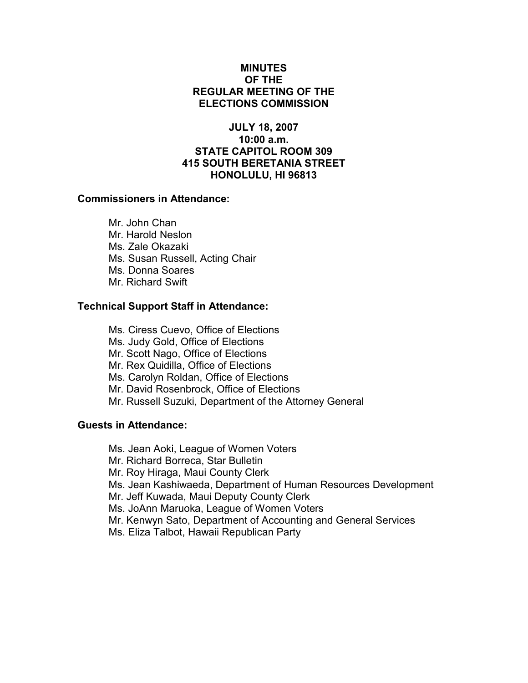# MINUTES OF THE REGULAR MEETING OF THE ELECTIONS COMMISSION

# JULY 18, 2007 10:00 a.m. STATE CAPITOL ROOM 309 415 SOUTH BERETANIA STREET HONOLULU, HI 96813

### Commissioners in Attendance:

 Mr. John Chan Mr. Harold Neslon Ms. Zale Okazaki Ms. Susan Russell, Acting Chair Ms. Donna Soares Mr. Richard Swift

### Technical Support Staff in Attendance:

- Ms. Ciress Cuevo, Office of Elections
- Ms. Judy Gold, Office of Elections
- Mr. Scott Nago, Office of Elections
- Mr. Rex Quidilla, Office of Elections
- Ms. Carolyn Roldan, Office of Elections
- Mr. David Rosenbrock, Office of Elections
- Mr. Russell Suzuki, Department of the Attorney General

# Guests in Attendance:

- Ms. Jean Aoki, League of Women Voters
- Mr. Richard Borreca, Star Bulletin
- Mr. Roy Hiraga, Maui County Clerk
- Ms. Jean Kashiwaeda, Department of Human Resources Development
- Mr. Jeff Kuwada, Maui Deputy County Clerk
- Ms. JoAnn Maruoka, League of Women Voters
- Mr. Kenwyn Sato, Department of Accounting and General Services
- Ms. Eliza Talbot, Hawaii Republican Party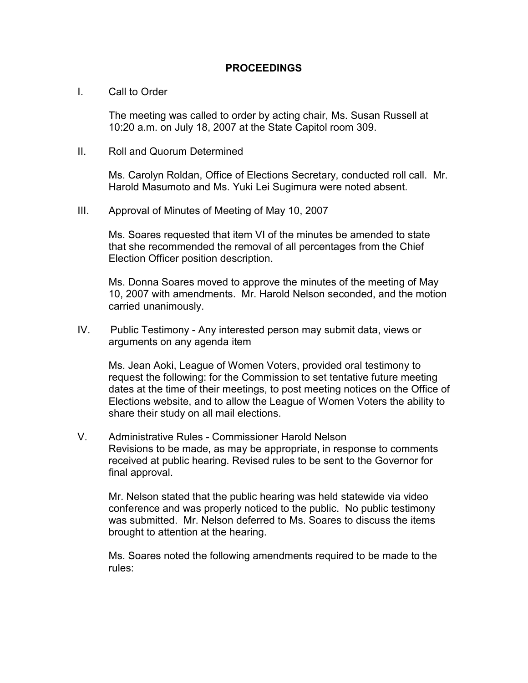### PROCEEDINGS

#### I. Call to Order

The meeting was called to order by acting chair, Ms. Susan Russell at 10:20 a.m. on July 18, 2007 at the State Capitol room 309.

II. Roll and Quorum Determined

Ms. Carolyn Roldan, Office of Elections Secretary, conducted roll call. Mr. Harold Masumoto and Ms. Yuki Lei Sugimura were noted absent.

III. Approval of Minutes of Meeting of May 10, 2007

Ms. Soares requested that item VI of the minutes be amended to state that she recommended the removal of all percentages from the Chief Election Officer position description.

Ms. Donna Soares moved to approve the minutes of the meeting of May 10, 2007 with amendments. Mr. Harold Nelson seconded, and the motion carried unanimously.

IV. Public Testimony - Any interested person may submit data, views or arguments on any agenda item

Ms. Jean Aoki, League of Women Voters, provided oral testimony to request the following: for the Commission to set tentative future meeting dates at the time of their meetings, to post meeting notices on the Office of Elections website, and to allow the League of Women Voters the ability to share their study on all mail elections.

V. Administrative Rules - Commissioner Harold Nelson Revisions to be made, as may be appropriate, in response to comments received at public hearing. Revised rules to be sent to the Governor for final approval.

 Mr. Nelson stated that the public hearing was held statewide via video conference and was properly noticed to the public. No public testimony was submitted. Mr. Nelson deferred to Ms. Soares to discuss the items brought to attention at the hearing.

 Ms. Soares noted the following amendments required to be made to the rules: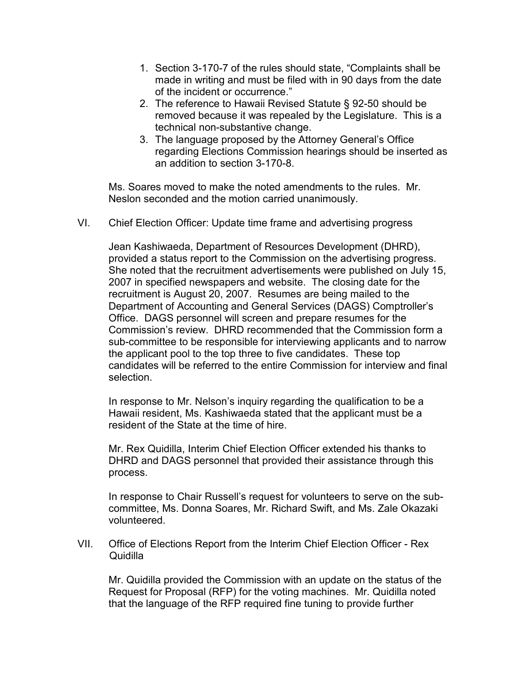- 1. Section 3-170-7 of the rules should state, "Complaints shall be made in writing and must be filed with in 90 days from the date of the incident or occurrence."
- 2. The reference to Hawaii Revised Statute § 92-50 should be removed because it was repealed by the Legislature. This is a technical non-substantive change.
- 3. The language proposed by the Attorney General's Office regarding Elections Commission hearings should be inserted as an addition to section 3-170-8.

Ms. Soares moved to make the noted amendments to the rules. Mr. Neslon seconded and the motion carried unanimously.

VI. Chief Election Officer: Update time frame and advertising progress

Jean Kashiwaeda, Department of Resources Development (DHRD), provided a status report to the Commission on the advertising progress. She noted that the recruitment advertisements were published on July 15, 2007 in specified newspapers and website. The closing date for the recruitment is August 20, 2007. Resumes are being mailed to the Department of Accounting and General Services (DAGS) Comptroller's Office. DAGS personnel will screen and prepare resumes for the Commission's review. DHRD recommended that the Commission form a sub-committee to be responsible for interviewing applicants and to narrow the applicant pool to the top three to five candidates. These top candidates will be referred to the entire Commission for interview and final selection.

In response to Mr. Nelson's inquiry regarding the qualification to be a Hawaii resident, Ms. Kashiwaeda stated that the applicant must be a resident of the State at the time of hire.

Mr. Rex Quidilla, Interim Chief Election Officer extended his thanks to DHRD and DAGS personnel that provided their assistance through this process.

In response to Chair Russell's request for volunteers to serve on the subcommittee, Ms. Donna Soares, Mr. Richard Swift, and Ms. Zale Okazaki volunteered.

VII. Office of Elections Report from the Interim Chief Election Officer - Rex **Quidilla** 

 Mr. Quidilla provided the Commission with an update on the status of the Request for Proposal (RFP) for the voting machines. Mr. Quidilla noted that the language of the RFP required fine tuning to provide further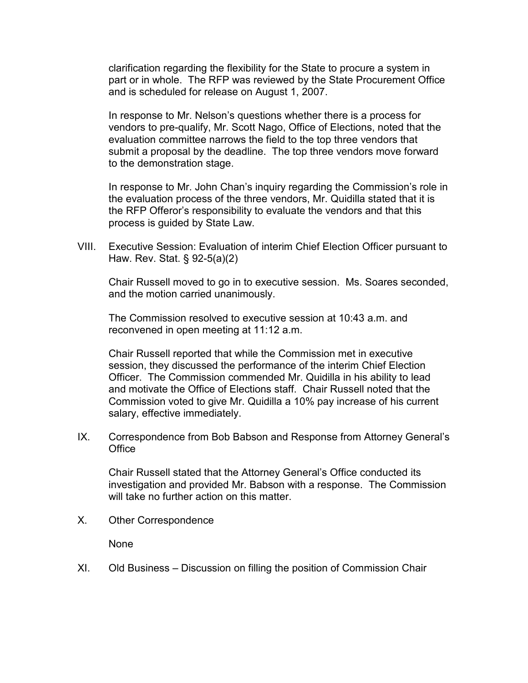clarification regarding the flexibility for the State to procure a system in part or in whole. The RFP was reviewed by the State Procurement Office and is scheduled for release on August 1, 2007.

 In response to Mr. Nelson's questions whether there is a process for vendors to pre-qualify, Mr. Scott Nago, Office of Elections, noted that the evaluation committee narrows the field to the top three vendors that submit a proposal by the deadline. The top three vendors move forward to the demonstration stage.

 In response to Mr. John Chan's inquiry regarding the Commission's role in the evaluation process of the three vendors, Mr. Quidilla stated that it is the RFP Offeror's responsibility to evaluate the vendors and that this process is guided by State Law.

VIII. Executive Session: Evaluation of interim Chief Election Officer pursuant to Haw. Rev. Stat. § 92-5(a)(2)

Chair Russell moved to go in to executive session. Ms. Soares seconded, and the motion carried unanimously.

The Commission resolved to executive session at 10:43 a.m. and reconvened in open meeting at 11:12 a.m.

Chair Russell reported that while the Commission met in executive session, they discussed the performance of the interim Chief Election Officer. The Commission commended Mr. Quidilla in his ability to lead and motivate the Office of Elections staff. Chair Russell noted that the Commission voted to give Mr. Quidilla a 10% pay increase of his current salary, effective immediately.

IX. Correspondence from Bob Babson and Response from Attorney General's **Office** 

 Chair Russell stated that the Attorney General's Office conducted its investigation and provided Mr. Babson with a response. The Commission will take no further action on this matter.

X. Other Correspondence

None

XI. Old Business – Discussion on filling the position of Commission Chair